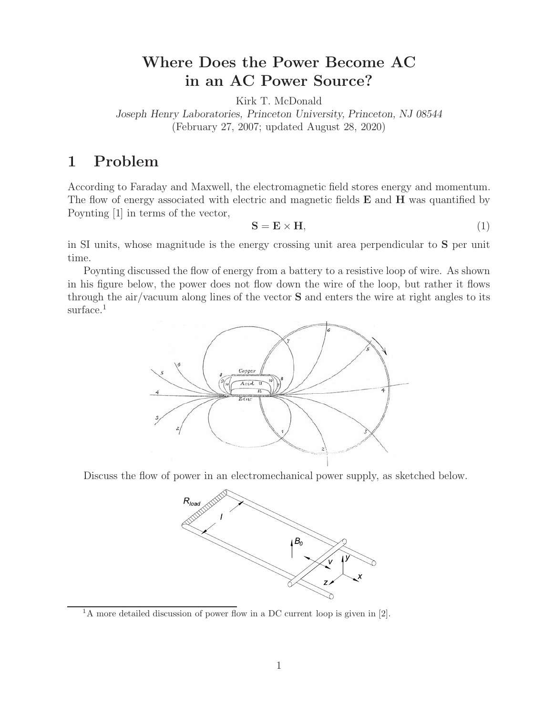# **Where Does the Power Become AC in an AC Power Source?**

Kirk T. McDonald

*Joseph Henry Laboratories, Princeton University, Princeton, NJ 08544* (February 27, 2007; updated August 28, 2020)

# **1 Problem**

According to Faraday and Maxwell, the electromagnetic field stores energy and momentum. The flow of energy associated with electric and magnetic fields **E** and **H** was quantified by Poynting [1] in terms of the vector,

$$
S = E \times H,
$$
 (1)

in SI units, whose magnitude is the energy crossing unit area perpendicular to **S** per unit time.

Poynting discussed the flow of energy from a battery to a resistive loop of wire. As shown in his figure below, the power does not flow down the wire of the loop, but rather it flows through the air/vacuum along lines of the vector **S** and enters the wire at right angles to its surface.<sup>1</sup>



Discuss the flow of power in an electromechanical power supply, as sketched below.



 $1A$  more detailed discussion of power flow in a DC current loop is given in [2].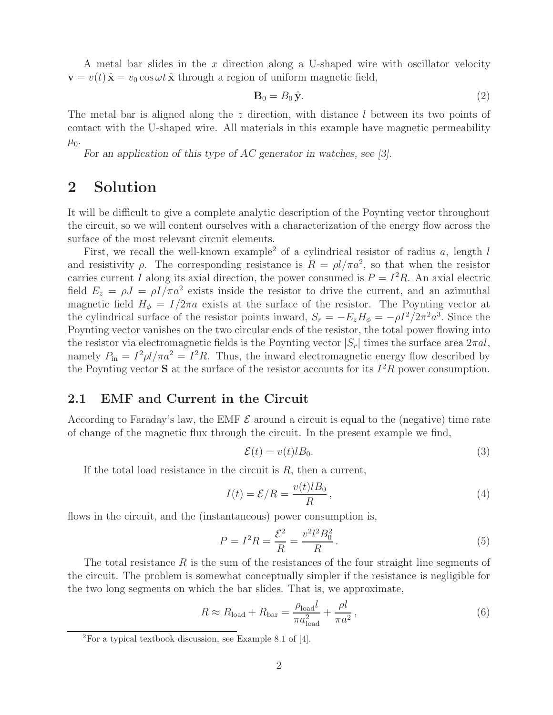A metal bar slides in the  $x$  direction along a U-shaped wire with oscillator velocity  $\mathbf{v} = v(t) \hat{\mathbf{x}} = v_0 \cos \omega t \hat{\mathbf{x}}$  through a region of uniform magnetic field,

$$
\mathbf{B}_0 = B_0 \hat{\mathbf{y}}.\tag{2}
$$

The metal bar is aligned along the z direction, with distance l between its two points of contact with the U-shaped wire. All materials in this example have magnetic permeability  $\mu_0$ .

*For an application of this type of AC generator in watches, see [3].*

## **2 Solution**

It will be difficult to give a complete analytic description of the Poynting vector throughout the circuit, so we will content ourselves with a characterization of the energy flow across the surface of the most relevant circuit elements.

First, we recall the well-known example<sup>2</sup> of a cylindrical resistor of radius a, length  $l$ and resistivity  $\rho$ . The corresponding resistance is  $R = \rho l / \pi a^2$ , so that when the resistor carries current I along its axial direction, the power consumed is  $P = I^2 R$ . An axial electric field  $E_z = \rho J = \rho I / \pi a^2$  exists inside the resistor to drive the current, and an azimuthal magnetic field  $H_{\phi} = I/2\pi a$  exists at the surface of the resistor. The Poynting vector at the cylindrical surface of the resistor points inward,  $S_r = -E_zH_\phi = -\rho I^2/2\pi^2 a^3$ . Since the Poynting vector vanishes on the two circular ends of the resistor, the total power flowing into the resistor via electromagnetic fields is the Poynting vector  $|S_r|$  times the surface area  $2\pi a l$ , namely  $P_{\text{in}} = I^2 \rho l / \pi a^2 = I^2 R$ . Thus, the inward electromagnetic energy flow described by the Poynting vector **S** at the surface of the resistor accounts for its  $I^2R$  power consumption.

#### **2.1 EMF and Current in the Circuit**

According to Faraday's law, the EMF  $\mathcal E$  around a circuit is equal to the (negative) time rate of change of the magnetic flux through the circuit. In the present example we find,

$$
\mathcal{E}(t) = v(t)lB_0.
$$
\n(3)

If the total load resistance in the circuit is  $R$ , then a current,

$$
I(t) = \mathcal{E}/R = \frac{v(t)lB_0}{R},
$$
\n(4)

flows in the circuit, and the (instantaneous) power consumption is,

$$
P = I^2 R = \frac{\mathcal{E}^2}{R} = \frac{v^2 l^2 B_0^2}{R} \,. \tag{5}
$$

The total resistance  $R$  is the sum of the resistances of the four straight line segments of the circuit. The problem is somewhat conceptually simpler if the resistance is negligible for the two long segments on which the bar slides. That is, we approximate,

$$
R \approx R_{\text{load}} + R_{\text{bar}} = \frac{\rho_{\text{load}}l}{\pi a_{\text{load}}^2} + \frac{\rho l}{\pi a^2},\tag{6}
$$

 ${}^{2}$ For a typical textbook discussion, see Example 8.1 of [4].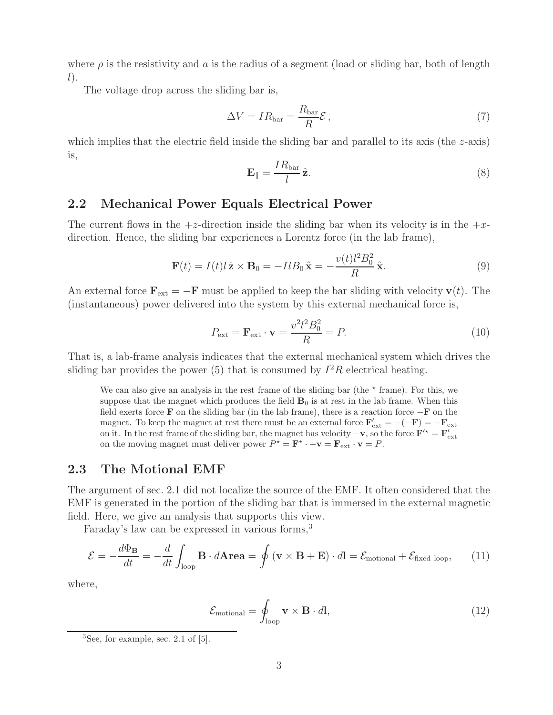where  $\rho$  is the resistivity and a is the radius of a segment (load or sliding bar, both of length  $l$ ).

The voltage drop across the sliding bar is,

$$
\Delta V = IR_{\text{bar}} = \frac{R_{\text{bar}}}{R} \mathcal{E} \,, \tag{7}
$$

which implies that the electric field inside the sliding bar and parallel to its axis (the z-axis) is,

$$
\mathbf{E}_{\parallel} = \frac{IR_{\text{bar}}}{l}\hat{\mathbf{z}}.\tag{8}
$$

#### **2.2 Mechanical Power Equals Electrical Power**

The current flows in the  $+z$ -direction inside the sliding bar when its velocity is in the  $+z$ direction. Hence, the sliding bar experiences a Lorentz force (in the lab frame),

$$
\mathbf{F}(t) = I(t)l\,\hat{\mathbf{z}} \times \mathbf{B}_0 = -IlB_0\,\hat{\mathbf{x}} = -\frac{v(t)l^2B_0^2}{R}\,\hat{\mathbf{x}}.\tag{9}
$$

An external force  $\mathbf{F}_{ext} = -\mathbf{F}$  must be applied to keep the bar sliding with velocity **v**(*t*). The (instantaneous) power delivered into the system by this external mechanical force is,

$$
P_{\text{ext}} = \mathbf{F}_{\text{ext}} \cdot \mathbf{v} = \frac{v^2 l^2 B_0^2}{R} = P. \tag{10}
$$

That is, a lab-frame analysis indicates that the external mechanical system which drives the sliding bar provides the power (5) that is consumed by  $I^2R$  electrical heating.

We can also give an analysis in the rest frame of the sliding bar (the  $*$  frame). For this, we suppose that the magnet which produces the field  $\mathbf{B}_0$  is at rest in the lab frame. When this field exerts force **F** on the sliding bar (in the lab frame), there is a reaction force −**F** on the magnet. To keep the magnet at rest there must be an external force  $\mathbf{F}'_{ext} = -(-\mathbf{F}) = -\mathbf{F}_{ext}$ on it. In the rest frame of the sliding bar, the magnet has velocity  $-\mathbf{v}$ , so the force  $\mathbf{F}'^* = \mathbf{F}'_{ext}$ on the moving magnet must deliver power  $P^* = \mathbf{F}^* \cdot -\mathbf{v} = \mathbf{F}_{ext} \cdot \mathbf{v} = P$ .

#### **2.3 The Motional EMF**

The argument of sec. 2.1 did not localize the source of the EMF. It often considered that the EMF is generated in the portion of the sliding bar that is immersed in the external magnetic field. Here, we give an analysis that supports this view.

Faraday's law can be expressed in various forms,<sup>3</sup>

$$
\mathcal{E} = -\frac{d\Phi_{\mathbf{B}}}{dt} = -\frac{d}{dt} \int_{\text{loop}} \mathbf{B} \cdot d\mathbf{A} \mathbf{r} \mathbf{e} \mathbf{a} = \oint (\mathbf{v} \times \mathbf{B} + \mathbf{E}) \cdot d\mathbf{l} = \mathcal{E}_{\text{motional}} + \mathcal{E}_{\text{fixed loop}}, \tag{11}
$$

where,

$$
\mathcal{E}_{\text{motional}} = \oint_{\text{loop}} \mathbf{v} \times \mathbf{B} \cdot d\mathbf{l},\tag{12}
$$

 ${}^{3}$ See, for example, sec. 2.1 of  $[5]$ .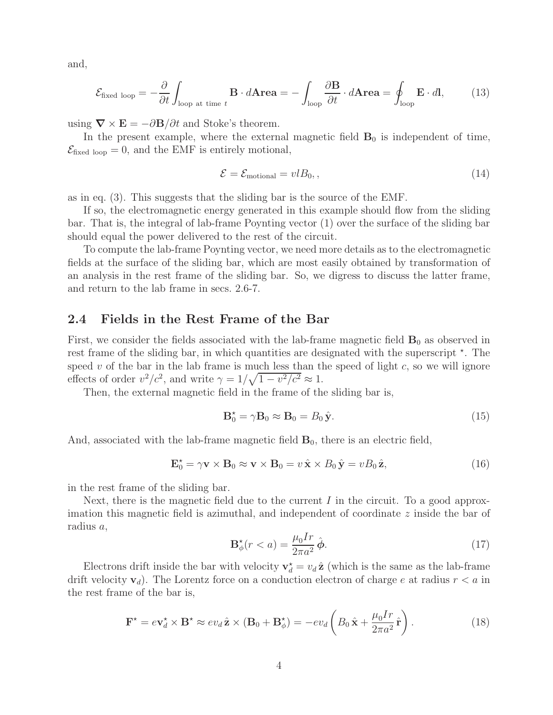and,

$$
\mathcal{E}_{\text{fixed loop}} = -\frac{\partial}{\partial t} \int_{\text{loop at time } t} \mathbf{B} \cdot d\mathbf{Area} = -\int_{\text{loop}} \frac{\partial \mathbf{B}}{\partial t} \cdot d\mathbf{Area} = \oint_{\text{loop}} \mathbf{E} \cdot d\mathbf{l}, \tag{13}
$$

using  $\nabla \times \mathbf{E} = -\partial \mathbf{B}/\partial t$  and Stoke's theorem.

In the present example, where the external magnetic field  $\mathbf{B}_0$  is independent of time,  $\mathcal{E}_{\text{fixed loop}} = 0$ , and the EMF is entirely motional,

$$
\mathcal{E} = \mathcal{E}_{\text{motional}} = vlB_0, \qquad (14)
$$

as in eq. (3). This suggests that the sliding bar is the source of the EMF.

If so, the electromagnetic energy generated in this example should flow from the sliding bar. That is, the integral of lab-frame Poynting vector (1) over the surface of the sliding bar should equal the power delivered to the rest of the circuit.

To compute the lab-frame Poynting vector, we need more details as to the electromagnetic fields at the surface of the sliding bar, which are most easily obtained by transformation of an analysis in the rest frame of the sliding bar. So, we digress to discuss the latter frame, and return to the lab frame in secs. 2.6-7.

#### **2.4 Fields in the Rest Frame of the Bar**

First, we consider the fields associated with the lab-frame magnetic field  $\mathbf{B}_0$  as observed in rest frame of the sliding bar, in which quantities are designated with the superscript  $\star$ . The speed  $v$  of the bar in the lab frame is much less than the speed of light  $c$ , so we will ignore effects of order  $v^2/c^2$ , and write  $\gamma = 1/\sqrt{1 - v^2/c^2} \approx 1$ .

Then, the external magnetic field in the frame of the sliding bar is,

$$
\mathbf{B}_0^* = \gamma \mathbf{B}_0 \approx \mathbf{B}_0 = B_0 \hat{\mathbf{y}}.\tag{15}
$$

And, associated with the lab-frame magnetic field **B**0, there is an electric field,

$$
\mathbf{E}_0^* = \gamma \mathbf{v} \times \mathbf{B}_0 \approx \mathbf{v} \times \mathbf{B}_0 = v \hat{\mathbf{x}} \times B_0 \hat{\mathbf{y}} = v B_0 \hat{\mathbf{z}}, \tag{16}
$$

in the rest frame of the sliding bar.

Next, there is the magnetic field due to the current  $I$  in the circuit. To a good approximation this magnetic field is azimuthal, and independent of coordinate z inside the bar of radius a,

$$
\mathbf{B}_{\phi}^{\star}(r < a) = \frac{\mu_0 I r}{2\pi a^2} \hat{\boldsymbol{\phi}}.\tag{17}
$$

Electrons drift inside the bar with velocity  $\mathbf{v}_d^* = v_d \hat{\mathbf{z}}$  (which is the same as the lab-frame drift velocity  $\mathbf{v}_d$ ). The Lorentz force on a conduction electron of charge e at radius  $r < a$  in the rest frame of the bar is,

$$
\mathbf{F}^{\star} = e \mathbf{v}_d^{\star} \times \mathbf{B}^{\star} \approx e v_d \hat{\mathbf{z}} \times (\mathbf{B}_0 + \mathbf{B}_{\phi}^{\star}) = -e v_d \left( B_0 \hat{\mathbf{x}} + \frac{\mu_0 I r}{2\pi a^2} \hat{\mathbf{r}} \right).
$$
 (18)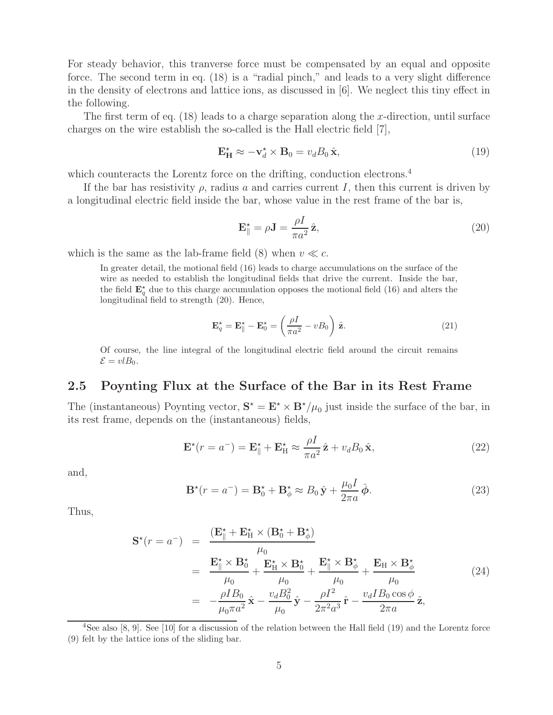For steady behavior, this tranverse force must be compensated by an equal and opposite force. The second term in eq. (18) is a "radial pinch," and leads to a very slight difference in the density of electrons and lattice ions, as discussed in [6]. We neglect this tiny effect in the following.

The first term of eq.  $(18)$  leads to a charge separation along the x-direction, until surface charges on the wire establish the so-called is the Hall electric field [7],

$$
\mathbf{E}_{\mathbf{H}}^{\star} \approx -\mathbf{v}_{d}^{\star} \times \mathbf{B}_{0} = v_{d} B_{0} \hat{\mathbf{x}}, \tag{19}
$$

which counteracts the Lorentz force on the drifting, conduction electrons.<sup>4</sup>

If the bar has resistivity  $\rho$ , radius a and carries current I, then this current is driven by a longitudinal electric field inside the bar, whose value in the rest frame of the bar is,

$$
\mathbf{E}_{\parallel}^{\star} = \rho \mathbf{J} = \frac{\rho I}{\pi a^2} \hat{\mathbf{z}},\tag{20}
$$

which is the same as the lab-frame field (8) when  $v \ll c$ .

In greater detail, the motional field (16) leads to charge accumulations on the surface of the wire as needed to establish the longitudinal fields that drive the current. Inside the bar, the field  $\mathbf{E}_q^{\star}$  due to this charge accumulation opposes the motional field (16) and alters the longitudinal field to strength (20). Hence,

$$
\mathbf{E}_q^* = \mathbf{E}_{\parallel}^* - \mathbf{E}_0^* = \left(\frac{\rho I}{\pi a^2} - v B_0\right) \hat{\mathbf{z}}.
$$
 (21)

Of course, the line integral of the longitudinal electric field around the circuit remains  $\mathcal{E} = vlB_0.$ 

#### **2.5 Poynting Flux at the Surface of the Bar in its Rest Frame**

The (instantaneous) Poynting vector,  $S^* = E^* \times B^*/\mu_0$  just inside the surface of the bar, in its rest frame, depends on the (instantaneous) fields,

$$
\mathbf{E}^{\star}(r = a^{-}) = \mathbf{E}_{\parallel}^{\star} + \mathbf{E}_{\mathrm{H}}^{\star} \approx \frac{\rho I}{\pi a^{2}} \hat{\mathbf{z}} + v_{d} B_{0} \hat{\mathbf{x}},
$$
\n(22)

and,

$$
\mathbf{B}^{\star}(r = a^{-}) = \mathbf{B}_{0}^{\star} + \mathbf{B}_{\phi}^{\star} \approx B_{0} \hat{\mathbf{y}} + \frac{\mu_{0} I}{2\pi a} \hat{\boldsymbol{\phi}}.
$$
 (23)

Thus,

$$
\mathbf{S}^{\star}(r=a^{-}) = \frac{(\mathbf{E}_{\parallel}^{\star} + \mathbf{E}_{\mathrm{H}}^{\star} \times (\mathbf{B}_{0}^{\star} + \mathbf{B}_{\phi}^{\star})}{\mu_{0}} \n= \frac{\mathbf{E}_{\parallel}^{\star} \times \mathbf{B}_{0}^{\star}}{\mu_{0}} + \frac{\mathbf{E}_{\mathrm{H}}^{\star} \times \mathbf{B}_{0}^{\star}}{\mu_{0}} + \frac{\mathbf{E}_{\parallel}^{\star} \times \mathbf{B}_{\phi}^{\star}}{\mu_{0}} + \frac{\mathbf{E}_{\mathrm{H}} \times \mathbf{B}_{\phi}^{\star}}{\mu_{0}} \n= -\frac{\rho I B_{0}}{\mu_{0} \pi a^{2}} \hat{\mathbf{x}} - \frac{v_{d} B_{0}^{2}}{\mu_{0}} \hat{\mathbf{y}} - \frac{\rho I^{2}}{2\pi^{2} a^{3}} \hat{\mathbf{r}} - \frac{v_{d} I B_{0} \cos \phi}{2\pi a} \hat{\mathbf{z}},
$$
\n(24)

<sup>4</sup>See also [8, 9]. See [10] for a discussion of the relation between the Hall field (19) and the Lorentz force (9) felt by the lattice ions of the sliding bar.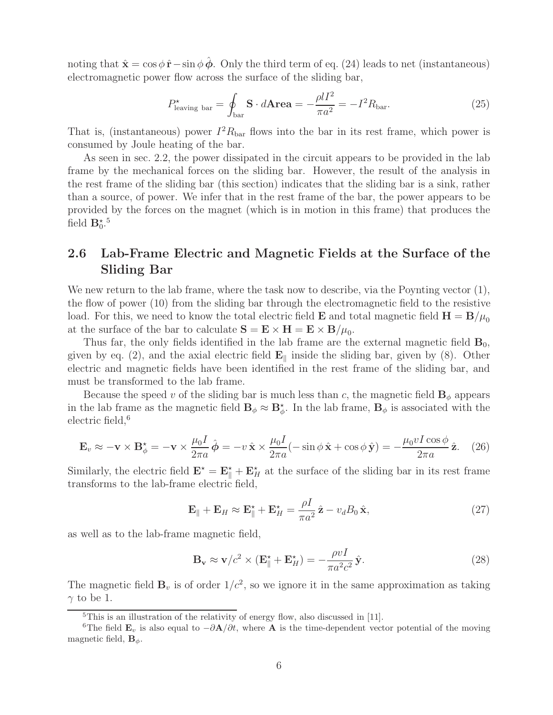noting that  $\hat{\mathbf{x}} = \cos \phi \, \hat{\mathbf{r}} - \sin \phi \, \phi$ . Only the third term of eq. (24) leads to net (instantaneous) electromagnetic power flow across the surface of the sliding bar,

$$
P_{\text{leaving bar}}^* = \oint_{\text{bar}} \mathbf{S} \cdot d\mathbf{Area} = -\frac{\rho l I^2}{\pi a^2} = -I^2 R_{\text{bar}}.\tag{25}
$$

That is, (instantaneous) power  $I^2R_{\text{bar}}$  flows into the bar in its rest frame, which power is consumed by Joule heating of the bar.

As seen in sec. 2.2, the power dissipated in the circuit appears to be provided in the lab frame by the mechanical forces on the sliding bar. However, the result of the analysis in the rest frame of the sliding bar (this section) indicates that the sliding bar is a sink, rather than a source, of power. We infer that in the rest frame of the bar, the power appears to be provided by the forces on the magnet (which is in motion in this frame) that produces the field  $\mathbf{B}_0^{\star}$ .<sup>5</sup>

### **2.6 Lab-Frame Electric and Magnetic Fields at the Surface of the Sliding Bar**

We new return to the lab frame, where the task now to describe, via the Poynting vector  $(1)$ , the flow of power (10) from the sliding bar through the electromagnetic field to the resistive load. For this, we need to know the total electric field **E** and total magnetic field  $\mathbf{H} = \mathbf{B}/\mu_0$ at the surface of the bar to calculate  $S = \mathbf{E} \times \mathbf{H} = \mathbf{E} \times \mathbf{B}/\mu_0$ .

Thus far, the only fields identified in the lab frame are the external magnetic field **B**0, given by eq. (2), and the axial electric field  $\mathbf{E}_{\parallel}$  inside the sliding bar, given by (8). Other electric and magnetic fields have been identified in the rest frame of the sliding bar, and must be transformed to the lab frame.

Because the speed v of the sliding bar is much less than c, the magnetic field  $\mathbf{B}_{\phi}$  appears in the lab frame as the magnetic field  $\mathbf{B}_{\phi} \approx \mathbf{B}_{\phi}^*$ . In the lab frame,  $\mathbf{B}_{\phi}$  is associated with the electric field, $6$ 

$$
\mathbf{E}_v \approx -\mathbf{v} \times \mathbf{B}_{\phi}^{\star} = -\mathbf{v} \times \frac{\mu_0 I}{2\pi a} \hat{\boldsymbol{\phi}} = -v \hat{\mathbf{x}} \times \frac{\mu_0 I}{2\pi a} (-\sin\phi \hat{\mathbf{x}} + \cos\phi \hat{\mathbf{y}}) = -\frac{\mu_0 v I \cos\phi}{2\pi a} \hat{\mathbf{z}}.
$$
 (26)

Similarly, the electric field  $\mathbf{E}^* = \mathbf{E}^* + \mathbf{E}^*$  at the surface of the sliding bar in its rest frame transforms to the lab-frame electric field,

$$
\mathbf{E}_{\parallel} + \mathbf{E}_{H} \approx \mathbf{E}_{\parallel}^* + \mathbf{E}_{H}^* = \frac{\rho I}{\pi a^2} \hat{\mathbf{z}} - v_d B_0 \hat{\mathbf{x}},\tag{27}
$$

as well as to the lab-frame magnetic field,

$$
\mathbf{B}_{\mathbf{v}} \approx \mathbf{v}/c^2 \times (\mathbf{E}_{\parallel}^{\star} + \mathbf{E}_{H}^{\star}) = -\frac{\rho v I}{\pi a^2 c^2} \hat{\mathbf{y}}.
$$
 (28)

The magnetic field  $\mathbf{B}_v$  is of order  $1/c^2$ , so we ignore it in the same approximation as taking  $\gamma$  to be 1.

<sup>5</sup>This is an illustration of the relativity of energy flow, also discussed in [11].

<sup>&</sup>lt;sup>6</sup>The field  $\mathbf{E}_v$  is also equal to  $-\partial \mathbf{A}/\partial t$ , where **A** is the time-dependent vector potential of the moving magnetic field,  $\mathbf{B}_{\phi}$ .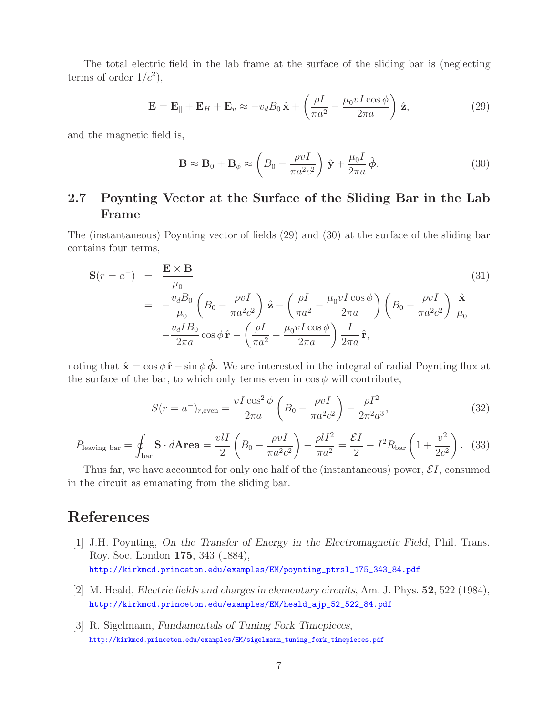The total electric field in the lab frame at the surface of the sliding bar is (neglecting terms of order  $1/c^2$ ,

$$
\mathbf{E} = \mathbf{E}_{\parallel} + \mathbf{E}_{H} + \mathbf{E}_{v} \approx -v_{d} B_{0} \hat{\mathbf{x}} + \left(\frac{\rho I}{\pi a^{2}} - \frac{\mu_{0} v I \cos \phi}{2\pi a}\right) \hat{\mathbf{z}},
$$
\n(29)

and the magnetic field is,

$$
\mathbf{B} \approx \mathbf{B}_0 + \mathbf{B}_{\phi} \approx \left( B_0 - \frac{\rho v I}{\pi a^2 c^2} \right) \hat{\mathbf{y}} + \frac{\mu_0 I}{2\pi a} \hat{\boldsymbol{\phi}}.
$$
 (30)

### **2.7 Poynting Vector at the Surface of the Sliding Bar in the Lab Frame**

The (instantaneous) Poynting vector of fields (29) and (30) at the surface of the sliding bar contains four terms,

$$
\mathbf{S}(r = a^{-}) = \frac{\mathbf{E} \times \mathbf{B}}{\mu_0}
$$
(31)  

$$
= -\frac{v_d B_0}{\mu_0} \left( B_0 - \frac{\rho v I}{\pi a^2 c^2} \right) \hat{\mathbf{z}} - \left( \frac{\rho I}{\pi a^2} - \frac{\mu_0 v I \cos \phi}{2\pi a} \right) \left( B_0 - \frac{\rho v I}{\pi a^2 c^2} \right) \frac{\hat{\mathbf{x}}}{\mu_0}
$$

$$
- \frac{v_d I B_0}{2\pi a} \cos \phi \hat{\mathbf{r}} - \left( \frac{\rho I}{\pi a^2} - \frac{\mu_0 v I \cos \phi}{2\pi a} \right) \frac{I}{2\pi a} \hat{\mathbf{r}},
$$
(31)

noting that  $\hat{\mathbf{x}} = \cos \phi \, \hat{\mathbf{r}} - \sin \phi \, \hat{\boldsymbol{\phi}}$ . We are interested in the integral of radial Poynting flux at the surface of the bar, to which only terms even in  $\cos \phi$  will contribute,

$$
S(r = a^{-})_{r,\text{even}} = \frac{vI\cos^{2}\phi}{2\pi a} \left(B_{0} - \frac{\rho vI}{\pi a^{2}c^{2}}\right) - \frac{\rho I^{2}}{2\pi^{2}a^{3}},
$$
\n(32)

$$
P_{\text{leaving bar}} = \oint_{\text{bar}} \mathbf{S} \cdot d\mathbf{Area} = \frac{v l I}{2} \left( B_0 - \frac{\rho v I}{\pi a^2 c^2} \right) - \frac{\rho l I^2}{\pi a^2} = \frac{\mathcal{E} I}{2} - I^2 R_{\text{bar}} \left( 1 + \frac{v^2}{2c^2} \right). \tag{33}
$$

Thus far, we have accounted for only one half of the (instantaneous) power,  $\mathcal{E}I$ , consumed in the circuit as emanating from the sliding bar.

## **References**

- [1] J.H. Poynting, *On the Transfer of Energy in the Electromagnetic Field*, Phil. Trans. Roy. Soc. London **175**, 343 (1884), http://kirkmcd.princeton.edu/examples/EM/poynting\_ptrsl\_175\_343\_84.pdf
- [2] M. Heald, *Electric fields and charges in elementary circuits*, Am. J. Phys. **52**, 522 (1984), http://kirkmcd.princeton.edu/examples/EM/heald\_ajp\_52\_522\_84.pdf
- [3] R. Sigelmann, *Fundamentals of Tuning Fork Timepieces*, http://kirkmcd.princeton.edu/examples/EM/sigelmann\_tuning\_fork\_timepieces.pdf